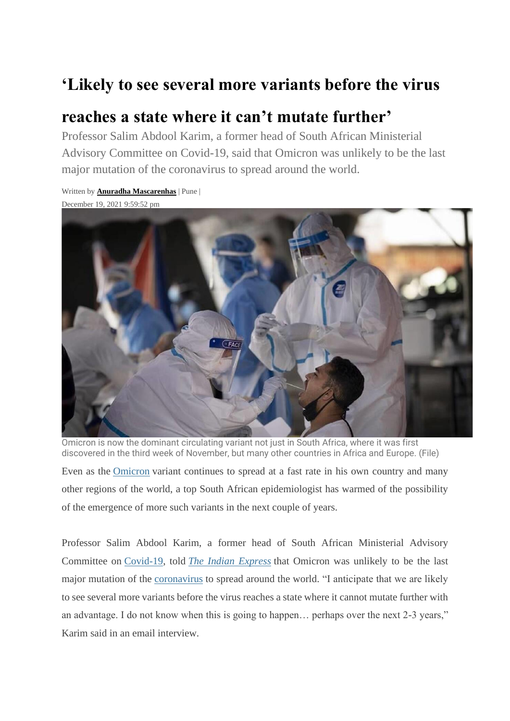## **'Likely to see several more variants before the virus**

## **reaches a state where it can't mutate further'**

Written by **[Anuradha Mascarenhas](https://indianexpress.com/profile/author/anuradha-mascarenhas/)** | Pune |

Professor Salim Abdool Karim, a former head of South African Ministerial Advisory Committee on Covid-19, said that Omicron was unlikely to be the last major mutation of the coronavirus to spread around the world.



Omicron is now the dominant circulating variant not just in South Africa, where it was first discovered in the third week of November, but many other countries in Africa and Europe. (File)

Even as the [Omicron](https://indianexpress.com/article/explained/covid-variant-south-africa-explained-7642199/) variant continues to spread at a fast rate in his own country and many other regions of the world, a top South African epidemiologist has warmed of the possibility of the emergence of more such variants in the next couple of years.

Professor Salim Abdool Karim, a former head of South African Ministerial Advisory Committee on [Covid-19,](https://indianexpress.com/about/coronavirus/) told *The Indian [Express](https://indianexpress.com/)* that Omicron was unlikely to be the last major mutation of the [coronavirus](https://indianexpress.com/about/coronavirus/) to spread around the world. "I anticipate that we are likely to see several more variants before the virus reaches a state where it cannot mutate further with an advantage. I do not know when this is going to happen… perhaps over the next 2-3 years," Karim said in an email interview.